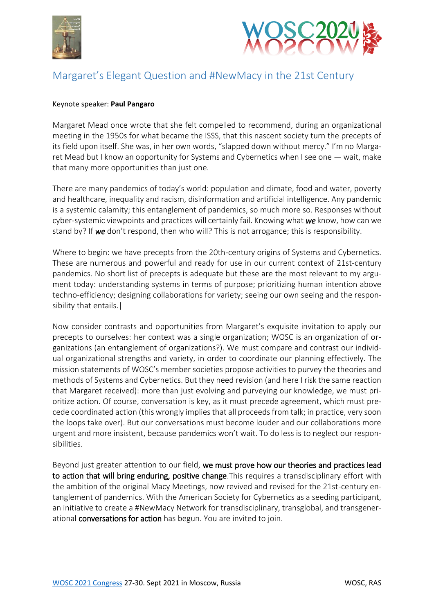



## Margaret's Elegant Question and #NewMacy in the 21st Century

## Keynote speaker: **Paul Pangaro**

Margaret Mead once wrote that she felt compelled to recommend, during an organizational meeting in the 1950s for what became the ISSS, that this nascent society turn the precepts of its field upon itself. She was, in her own words, "slapped down without mercy." I'm no Margaret Mead but I know an opportunity for Systems and Cybernetics when I see one — wait, make that many more opportunities than just one.

There are many pandemics of today's world: population and climate, food and water, poverty and healthcare, inequality and racism, disinformation and artificial intelligence. Any pandemic is a systemic calamity; this entanglement of pandemics, so much more so. Responses without cyber-systemic viewpoints and practices will certainly fail. Knowing what *we* know, how can we stand by? If *we* don't respond, then who will? This is not arrogance; this is responsibility.

Where to begin: we have precepts from the 20th-century origins of Systems and Cybernetics. These are numerous and powerful and ready for use in our current context of 21st-century pandemics. No short list of precepts is adequate but these are the most relevant to my argument today: understanding systems in terms of purpose; prioritizing human intention above techno-efficiency; designing collaborations for variety; seeing our own seeing and the responsibility that entails.|

Now consider contrasts and opportunities from Margaret's exquisite invitation to apply our precepts to ourselves: her context was a single organization; WOSC is an organization of organizations (an entanglement of organizations?). We must compare and contrast our individual organizational strengths and variety, in order to coordinate our planning effectively. The mission statements of WOSC's member societies propose activities to purvey the theories and methods of Systems and Cybernetics. But they need revision (and here I risk the same reaction that Margaret received): more than just evolving and purveying our knowledge, we must prioritize action. Of course, conversation is key, as it must precede agreement, which must precede coordinated action (this wrongly implies that all proceeds from talk; in practice, very soon the loops take over). But our conversations must become louder and our collaborations more urgent and more insistent, because pandemics won't wait. To do less is to neglect our responsibilities.

Beyond just greater attention to our field, we must prove how our theories and practices lead to action that will bring enduring, positive change. This requires a transdisciplinary effort with the ambition of the original Macy Meetings, now revived and revised for the 21st-century entanglement of pandemics. With the American Society for Cybernetics as a seeding participant, an initiative to create a #NewMacy Network for transdisciplinary, transglobal, and transgenerational conversations for action has begun. You are invited to join.